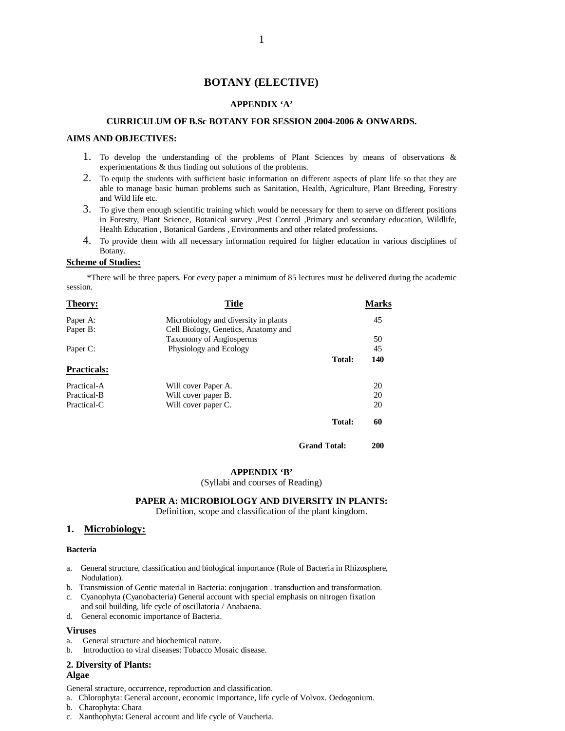# **BOTANY (ELECTIVE)**

#### **APPENDIX 'A'**

# **CURRICULUM OF B.Sc BOTANY FOR SESSION 2004-2006 & ONWARDS.**

#### **AIMS AND OBJECTIVES:**

- 1. To develop the understanding of the problems of Plant Sciences by means of observations & experimentations & thus finding out solutions of the problems.
- 2. To equip the students with sufficient basic information on different aspects of plant life so that they are able to manage basic human problems such as Sanitation, Health, Agriculture, Plant Breeding, Forestry and Wild life etc.
- 3. To give them enough scientific training which would be necessary for them to serve on different positions in Forestry, Plant Science, Botanical survey ,Pest Control ,Primary and secondary education, Wildlife, Health Education , Botanical Gardens , Environments and other related professions.
- 4. To provide them with all necessary information required for higher education in various disciplines of Botany.

# **Scheme of Studies:**

 \*There will be three papers. For every paper a minimum of 85 lectures must be delivered during the academic session.

| Theory:            | <b>Title</b>                         |                     | <b>Marks</b> |
|--------------------|--------------------------------------|---------------------|--------------|
| Paper A:           | Microbiology and diversity in plants |                     | 45           |
| Paper B:           | Cell Biology, Genetics, Anatomy and  |                     |              |
|                    | Taxonomy of Angiosperms              |                     | 50           |
| Paper C:           | Physiology and Ecology               |                     | 45           |
|                    |                                      | Total:              | 140          |
| <b>Practicals:</b> |                                      |                     |              |
| Practical-A        | Will cover Paper A.                  |                     | 20           |
| Practical-B        | Will cover paper B.                  |                     | 20           |
| Practical-C        | Will cover paper C.                  |                     | 20           |
|                    |                                      | Total:              | 60           |
|                    |                                      | <b>Grand Total:</b> | 200          |

# **APPENDIX 'B'**

(Syllabi and courses of Reading)

# **PAPER A: MICROBIOLOGY AND DIVERSITY IN PLANTS:**

Definition, scope and classification of the plant kingdom.

# **1. Microbiology:**

#### **Bacteria**

- a. General structure, classification and biological importance (Role of Bacteria in Rhizosphere, Nodulation).
- b. Transmission of Gentic material in Bacteria: conjugation . transduction and transformation.
- c. Cyanophyta (Cyanobacteria) General account with special emphasis on nitrogen fixation and soil building, life cycle of oscillatoria / Anabaena.
- d. General economic importance of Bacteria.

#### **Viruses**

- a. General structure and biochemical nature.
- b. Introduction to viral diseases: Tobacco Mosaic disease.

#### **2. Diversity of Plants:**

#### **Algae**

General structure, occurrence, reproduction and classification.

- a. Chlorophyta: General account, economic importance, life cycle of Volvox. Oedogonium.
- b. Charophyta: Chara
- c. Xanthophyta: General account and life cycle of Vaucheria.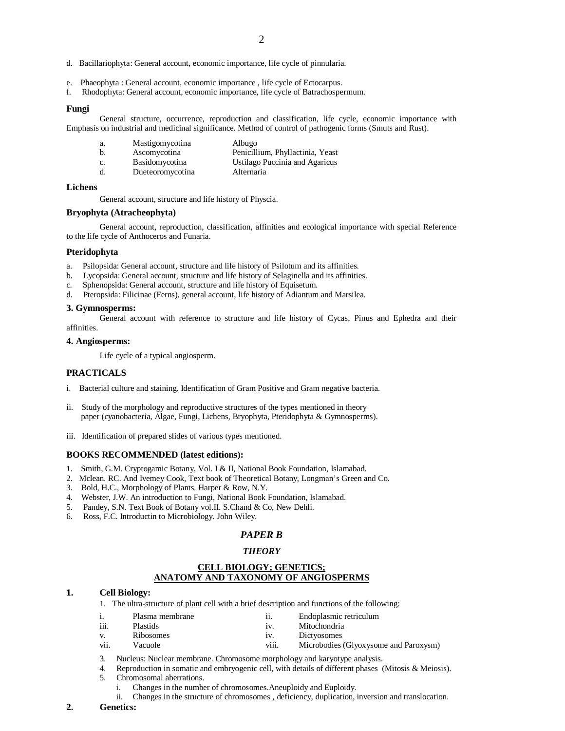- d. Bacillariophyta: General account, economic importance, life cycle of pinnularia.
- e. Phaeophyta : General account, economic importance , life cycle of Ectocarpus.
- f. Rhodophyta: General account, economic importance, life cycle of Batrachospermum.

#### **Fungi**

General structure, occurrence, reproduction and classification, life cycle, economic importance with Emphasis on industrial and medicinal significance. Method of control of pathogenic forms (Smuts and Rust).

| а. | Mastigomycotina       | Albugo                           |
|----|-----------------------|----------------------------------|
| b. | Ascomycotina          | Penicillium, Phyllactinia, Yeast |
| C. | <b>Basidomycotina</b> | Ustilago Puccinia and Agaricus   |
| d. | Dueteoromycotina      | Alternaria                       |

#### **Lichens**

General account, structure and life history of Physcia.

#### **Bryophyta (Atracheophyta)**

General account, reproduction, classification, affinities and ecological importance with special Reference to the life cycle of Anthoceros and Funaria.

#### **Pteridophyta**

- a. Psilopsida: General account, structure and life history of Psilotum and its affinities.
- b. Lycopsida: General account, structure and life history of Selaginella and its affinities.
- c. Sphenopsida: General account, structure and life history of Equisetum.
- d. Pteropsida: Filicinae (Ferns), general account, life history of Adiantum and Marsilea.

#### **3. Gymnosperms:**

General account with reference to structure and life history of Cycas, Pinus and Ephedra and their affinities.

# **4. Angiosperms:**

Life cycle of a typical angiosperm.

#### **PRACTICALS**

- i. Bacterial culture and staining. Identification of Gram Positive and Gram negative bacteria.
- ii. Study of the morphology and reproductive structures of the types mentioned in theory paper (cyanobacteria, Algae, Fungi, Lichens, Bryophyta, Pteridophyta & Gymnosperms).
- iii. Identification of prepared slides of various types mentioned.

#### **BOOKS RECOMMENDED (latest editions):**

- 1. Smith, G.M. Cryptogamic Botany, Vol. I & II, National Book Foundation, Islamabad.
- 2. Mclean. RC. And Ivemey Cook, Text book of Theoretical Botany, Longman's Green and Co.
- 3. Bold, H.C., Morphology of Plants. Harper & Row, N.Y.
- 4. Webster, J.W. An introduction to Fungi, National Book Foundation, Islamabad.
- 5. Pandey, S.N. Text Book of Botany vol.II. S.Chand & Co, New Dehli.
- 6. Ross, F.C. Introductin to Microbiology. John Wiley.

#### *PAPER B*

#### *THEORY*

# **CELL BIOLOGY; GENETICS; ANATOMY AND TAXONOMY OF ANGIOSPERMS**

#### **1. Cell Biology:**

1. The ultra-structure of plant cell with a brief description and functions of the following:

| 1.          | Plasma membrane | 11.               | Endoplasmic retriculum                |
|-------------|-----------------|-------------------|---------------------------------------|
| iii.        | <b>Plastids</b> | $1V_{\odot}$      | Mitochondria                          |
| $V_{\odot}$ | Ribosomes       | 1V.               | Dictyosomes                           |
| vii.        | Vacuole         | $\cdots$<br>V111. | Microbodies (Glyoxysome and Paroxysm) |

- 3. Nucleus: Nuclear membrane. Chromosome morphology and karyotype analysis.
- 4. Reproduction in somatic and embryogenic cell, with details of different phases (Mitosis & Meiosis).
- 5. Chromosomal aberrations.
	- i. Changes in the number of chromosomes.Aneuploidy and Euploidy.
	- ii. Changes in the structure of chromosomes , deficiency, duplication, inversion and translocation.

#### **2. Genetics:**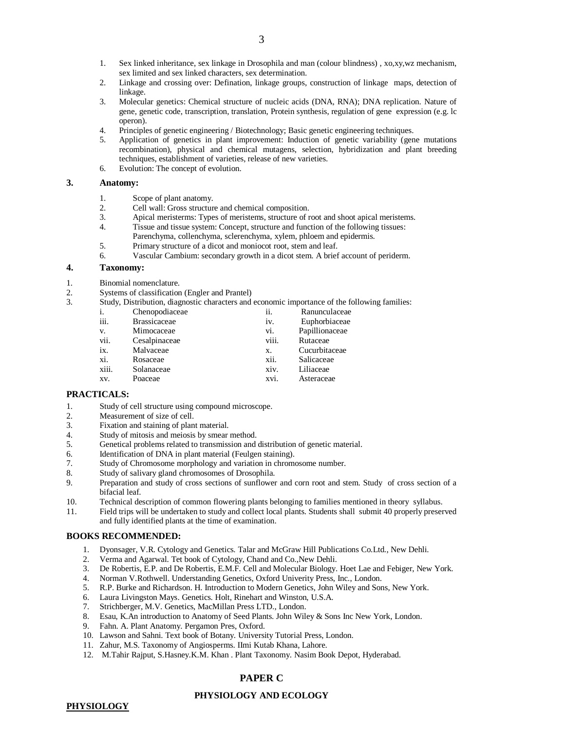- 1. Sex linked inheritance, sex linkage in Drosophila and man (colour blindness) , xo,xy,wz mechanism, sex limited and sex linked characters, sex determination.
- 2. Linkage and crossing over: Defination, linkage groups, construction of linkage maps, detection of linkage.
- 3. Molecular genetics: Chemical structure of nucleic acids (DNA, RNA); DNA replication. Nature of gene, genetic code, transcription, translation, Protein synthesis, regulation of gene expression (e.g. lc operon).
- 4. Principles of genetic engineering / Biotechnology; Basic genetic engineering techniques.
- 5. Application of genetics in plant improvement: Induction of genetic variability (gene mutations recombination), physical and chemical mutagens, selection, hybridization and plant breeding techniques, establishment of varieties, release of new varieties.
- 6. Evolution: The concept of evolution.

# **3. Anatomy:**

- 1. Scope of plant anatomy.<br>2. Cell wall: Gross structure
- 2. Cell wall: Gross structure and chemical composition.<br>3. Apical meristerms: Types of meristems, structure of r
- Apical meristerms: Types of meristems, structure of root and shoot apical meristems.
- 4. Tissue and tissue system: Concept, structure and function of the following tissues: Parenchyma, collenchyma, sclerenchyma, xylem, phloem and epidermis.
- 5. Primary structure of a dicot and moniocot root, stem and leaf.
- 6. Vascular Cambium: secondary growth in a dicot stem. A brief account of periderm.

#### **4. Taxonomy:**

- 1. Binomial nomenclature.
- 2. Systems of classification (Engler and Prantel)
- 3. Study, Distribution, diagnostic characters and economic importance of the following families:

| i.    | Chenopodiaceae      | ii.   | Ranunculaceae  |
|-------|---------------------|-------|----------------|
| iii.  | <b>Brassicaceae</b> | iv.   | Euphorbiaceae  |
| V.    | Mimocaceae          | vi.   | Papillionaceae |
| vii.  | Cesalpinaceae       | viii. | Rutaceae       |
| ix.   | Malvaceae           | Х.    | Cucurbitaceae  |
| xi.   | Rosaceae            | xii.  | Salicaceae     |
| xiii. | Solanaceae          | xiv.  | Liliaceae      |
| XV.   | Poaceae             | xvi.  | Asteraceae     |
|       |                     |       |                |

### **PRACTICALS:**

- 1. Study of cell structure using compound microscope.
- 2. Measurement of size of cell.
- 3. Fixation and staining of plant material.
- 4. Study of mitosis and meiosis by smear method.
- 5. Genetical problems related to transmission and distribution of genetic material.
- 6. Identification of DNA in plant material (Feulgen staining).
- 7. Study of Chromosome morphology and variation in chromosome number.
- 8. Study of salivary gland chromosomes of Drosophila.<br>9. Preparation and study of cross sections of sunflower
- Preparation and study of cross sections of sunflower and corn root and stem. Study of cross section of a bifacial leaf.
- 10. Technical description of common flowering plants belonging to families mentioned in theory syllabus.
- 11. Field trips will be undertaken to study and collect local plants. Students shall submit 40 properly preserved and fully identified plants at the time of examination.

### **BOOKS RECOMMENDED:**

- 1. Dyonsager, V.R. Cytology and Genetics. Talar and McGraw Hill Publications Co.Ltd., New Dehli.
- 2. Verma and Agarwal. Tet book of Cytology, Chand and Co.,New Dehli.
- 3. De Robertis, E.P. and De Robertis, E.M.F. Cell and Molecular Biology. Hoet Lae and Febiger, New York.
- 4. Norman V.Rothwell. Understanding Genetics, Oxford Univerity Press, Inc., London.
- 5. R.P. Burke and Richardson. H. Introduction to Modern Genetics, John Wiley and Sons, New York.
- 6. Laura Livingston Mays. Genetics. Holt, Rinehart and Winston, U.S.A.
- 7. Strichberger, M.V. Genetics, MacMillan Press LTD., London.
- 8. Esau, K.An introduction to Anatomy of Seed Plants. John Wiley & Sons Inc New York, London.
- 9. Fahn. A. Plant Anatomy. Pergamon Pres, Oxford.
- 10. Lawson and Sahni. Text book of Botany. University Tutorial Press, London.
- 11. Zahur, M.S. Taxonomy of Angiosperms. IImi Kutab Khana, Lahore.
- 12. M.Tahir Rajput, S.Hasney.K.M. Khan . Plant Taxonomy. Nasim Book Depot, Hyderabad.

# **PHYSIOLOGY AND ECOLOGY**

**PHYSIOLOGY**

# **PAPER C**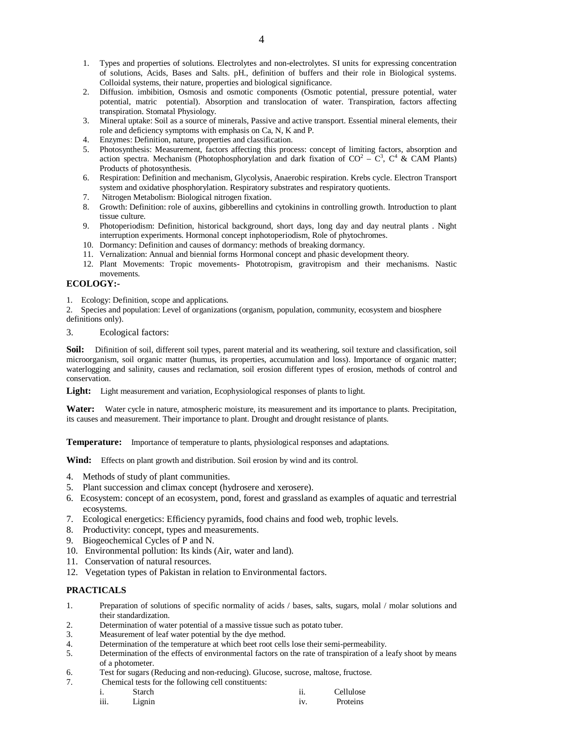- 1. Types and properties of solutions. Electrolytes and non-electrolytes. SI units for expressing concentration of solutions, Acids, Bases and Salts. pH., definition of buffers and their role in Biological systems. Colloidal systems, their nature, properties and biological significance.
- 2. Diffusion. imbibition, Osmosis and osmotic components (Osmotic potential, pressure potential, water potential, matric potential). Absorption and translocation of water. Transpiration, factors affecting transpiration. Stomatal Physiology.
- 3. Mineral uptake: Soil as a source of minerals, Passive and active transport. Essential mineral elements, their role and deficiency symptoms with emphasis on Ca, N, K and P.
- 4. Enzymes: Definition, nature, properties and classification.
- 5. Photosynthesis: Measurement, factors affecting this process: concept of limiting factors, absorption and action spectra. Mechanism (Photophosphorylation and dark fixation of  $CO^2 - C^3$ ,  $C^4$  & CAM Plants) Products of photosynthesis.
- 6. Respiration: Definition and mechanism, Glycolysis, Anaerobic respiration. Krebs cycle. Electron Transport system and oxidative phosphorylation. Respiratory substrates and respiratory quotients.
- 7. Nitrogen Metabolism: Biological nitrogen fixation.
- 8. Growth: Definition: role of auxins, gibberellins and cytokinins in controlling growth. Introduction to plant tissue culture.
- 9. Photoperiodism: Definition, historical background, short days, long day and day neutral plants . Night interruption experiments. Hormonal concept inphotoperiodism, Role of phytochromes.
- 10. Dormancy: Definition and causes of dormancy: methods of breaking dormancy.
- 11. Vernalization: Annual and biennial forms Hormonal concept and phasic development theory.
- 12. Plant Movements: Tropic movements- Phototropism, gravitropism and their mechanisms. Nastic movements.

# **ECOLOGY:-**

1. Ecology: Definition, scope and applications.

2. Species and population: Level of organizations (organism, population, community, ecosystem and biosphere definitions only).

3. Ecological factors:

**Soil:** Difinition of soil, different soil types, parent material and its weathering, soil texture and classification, soil microorganism, soil organic matter (humus, its properties, accumulation and loss). Importance of organic matter; waterlogging and salinity, causes and reclamation, soil erosion different types of erosion, methods of control and conservation.

**Light:** Light measurement and variation, Ecophysiological responses of plants to light.

**Water:** Water cycle in nature, atmospheric moisture, its measurement and its importance to plants. Precipitation, its causes and measurement. Their importance to plant. Drought and drought resistance of plants.

**Temperature:** Importance of temperature to plants, physiological responses and adaptations.

**Wind:** Effects on plant growth and distribution. Soil erosion by wind and its control.

- 4. Methods of study of plant communities.
- 5. Plant succession and climax concept (hydrosere and xerosere).
- 6. Ecosystem: concept of an ecosystem, pond, forest and grassland as examples of aquatic and terrestrial ecosystems.
- 7. Ecological energetics: Efficiency pyramids, food chains and food web, trophic levels.
- 8. Productivity: concept, types and measurements.
- 9. Biogeochemical Cycles of P and N.
- 10. Environmental pollution: Its kinds (Air, water and land).
- 11. Conservation of natural resources.
- 12. Vegetation types of Pakistan in relation to Environmental factors.

# **PRACTICALS**

- 1. Preparation of solutions of specific normality of acids / bases, salts, sugars, molal / molar solutions and their standardization.
- 2. Determination of water potential of a massive tissue such as potato tuber.
- 3. Measurement of leaf water potential by the dye method.<br>4. Determination of the temperature at which beet root cell
- 4. Determination of the temperature at which beet root cells lose their semi-permeability.<br>5. Determination of the effects of environmental factors on the rate of transpiration of a l
- Determination of the effects of environmental factors on the rate of transpiration of a leafy shoot by means of a photometer.
- 6. Test for sugars (Reducing and non-reducing). Glucose, sucrose, maltose, fructose.
- 7. Chemical tests for the following cell constituents:
	- i. Starch ii. Cellulose
		- iii. Lignin iv. Proteins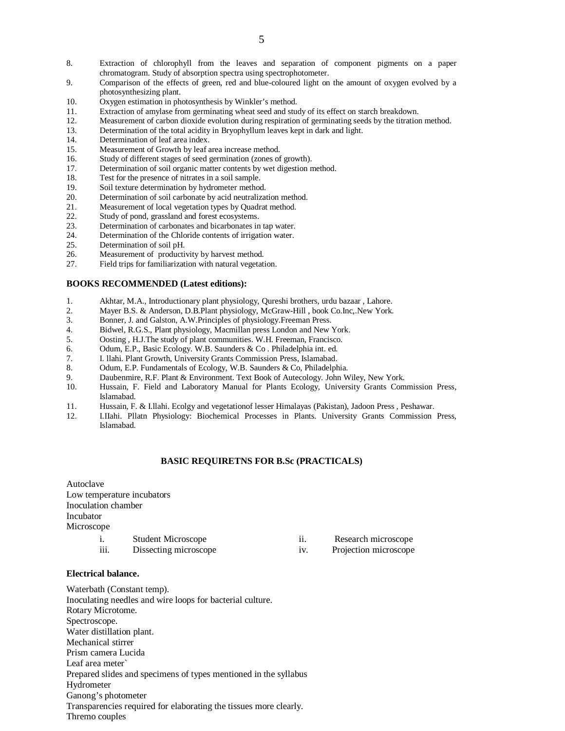- 8. Extraction of chlorophyll from the leaves and separation of component pigments on a paper chromatogram. Study of absorption spectra using spectrophotometer.
- 9. Comparison of the effects of green, red and blue-coloured light on the amount of oxygen evolved by a photosynthesizing plant.
- 10. Oxygen estimation in photosynthesis by Winkler's method.
- 11. Extraction of amylase from germinating wheat seed and study of its effect on starch breakdown.
- 12. Measurement of carbon dioxide evolution during respiration of germinating seeds by the titration method.<br>13. Determination of the total acidity in Bryophyllum leaves kept in dark and light.
- 13. Determination of the total acidity in Bryophyllum leaves kept in dark and light.<br>14. Determination of leaf area index.
- Determination of leaf area index.
- 15. Measurement of Growth by leaf area increase method.
- 16. Study of different stages of seed germination (zones of growth).<br>17. Determination of soil organic matter contents by wet digestion n
- 17. Determination of soil organic matter contents by wet digestion method.<br>18. Test for the presence of nitrates in a soil sample.
- 18. Test for the presence of nitrates in a soil sample.<br>19. Soil texture determination by hydrometer method
- 19. Soil texture determination by hydrometer method.<br>20. Determination of soil carbonate by acid neutralization
- Determination of soil carbonate by acid neutralization method.
- 21. Measurement of local vegetation types by Quadrat method.
- 22. Study of pond, grassland and forest ecosystems.<br>23. Determination of carbonates and bicarbonates in
- 23. Determination of carbonates and bicarbonates in tap water.<br>24. Determination of the Chloride contents of irrigation water.
- Determination of the Chloride contents of irrigation water.
- 25. Determination of soil pH.
- 26. Measurement of productivity by harvest method.
- 27. Field trips for familiarization with natural vegetation.

### **BOOKS RECOMMENDED (Latest editions):**

- 1. Akhtar, M.A., Introductionary plant physiology, Qureshi brothers, urdu bazaar , Lahore.
- 2. Mayer B.S. & Anderson, D.B.Plant physiology, McGraw-Hill , book Co.Inc, New York.<br>3. Bonner, J. and Galston, A.W.Principles of physiology.Freeman Press.
- 3. Bonner, J. and Galston, A.W.Principles of physiology.Freeman Press.
- 4. Bidwel, R.G.S., Plant physiology, Macmillan press London and New York.<br>5. Oosting . H.J.The study of plant communities. W.H. Freeman. Francisco.
- 5. Oosting , H.J.The study of plant communities. W.H. Freeman, Francisco.<br>6. Odum. E.P., Basic Ecology. W.B. Saunders & Co. Philadelphia int. ed.
- 6. Odum, E.P., Basic Ecology. W.B. Saunders & Co . Philadelphia int. ed.
- 7. I. llahi. Plant Growth, University Grants Commission Press, Islamabad.
- 8. Odum, E.P. Fundamentals of Ecology, W.B. Saunders & Co, Philadelphia.
- 9. Daubenmire, R.F. Plant & Environment. Text Book of Autecology. John Wiley, New York.
- 10. Hussain, F. Field and Laboratory Manual for Plants Ecology, University Grants Commission Press, Islamabad.
- 11. Hussain, F. & I.llahi. Ecolgy and vegetationof lesser Himalayas (Pakistan), Jadoon Press , Peshawar.
- 12. I.IIahi. Pllatn Physiology: Biochemical Processes in Plants. University Grants Commission Press, Islamabad.

#### **BASIC REQUIRETNS FOR B.Sc (PRACTICALS)**

| Autoclave           |                            |                   |                       |
|---------------------|----------------------------|-------------------|-----------------------|
|                     | Low temperature incubators |                   |                       |
| Inoculation chamber |                            |                   |                       |
| Incubator           |                            |                   |                       |
| Microscope          |                            |                   |                       |
| $\mathbf{1}$ .      | <b>Student Microscope</b>  | $\overline{11}$ . | Research microscope   |
| iii.                | Dissecting microscope      | 1V.               | Projection microscope |
|                     |                            |                   |                       |

#### **Electrical balance.**